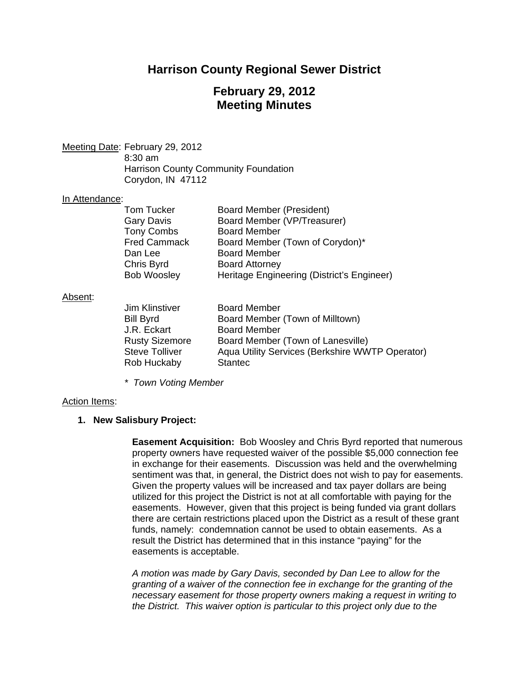## **Harrison County Regional Sewer District**

## **February 29, 2012 Meeting Minutes**

Meeting Date: February 29, 2012 8:30 am Harrison County Community Foundation Corydon, IN 47112

#### In Attendance:

| Tom Tucker          | Board Member (President)                   |
|---------------------|--------------------------------------------|
| Gary Davis          | Board Member (VP/Treasurer)                |
| <b>Tony Combs</b>   | <b>Board Member</b>                        |
| <b>Fred Cammack</b> | Board Member (Town of Corydon)*            |
| Dan Lee             | <b>Board Member</b>                        |
| Chris Byrd          | <b>Board Attorney</b>                      |
| <b>Bob Woosley</b>  | Heritage Engineering (District's Engineer) |

#### Absent:

| Jim Klinstiver        | <b>Board Member</b>                             |
|-----------------------|-------------------------------------------------|
| <b>Bill Byrd</b>      | Board Member (Town of Milltown)                 |
| J.R. Eckart           | <b>Board Member</b>                             |
| <b>Rusty Sizemore</b> | Board Member (Town of Lanesville)               |
| <b>Steve Tolliver</b> | Aqua Utility Services (Berkshire WWTP Operator) |
| Rob Huckaby           | <b>Stantec</b>                                  |

*\* Town Voting Member* 

#### Action Items:

### **1. New Salisbury Project:**

**Easement Acquisition:** Bob Woosley and Chris Byrd reported that numerous property owners have requested waiver of the possible \$5,000 connection fee in exchange for their easements. Discussion was held and the overwhelming sentiment was that, in general, the District does not wish to pay for easements. Given the property values will be increased and tax payer dollars are being utilized for this project the District is not at all comfortable with paying for the easements. However, given that this project is being funded via grant dollars there are certain restrictions placed upon the District as a result of these grant funds, namely: condemnation cannot be used to obtain easements. As a result the District has determined that in this instance "paying" for the easements is acceptable.

*A motion was made by Gary Davis, seconded by Dan Lee to allow for the granting of a waiver of the connection fee in exchange for the granting of the necessary easement for those property owners making a request in writing to the District. This waiver option is particular to this project only due to the*